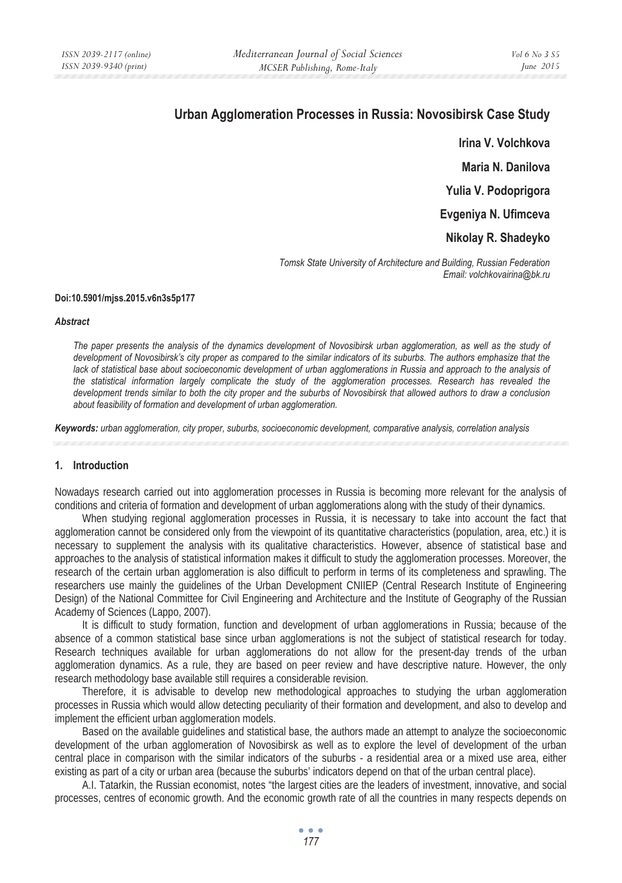# **Urban Agglomeration Processes in Russia: Novosibirsk Case Study**

**Irina V. Volchkova Maria N. Danilova Yulia V. Podoprigora Evgeniya N. Ufimceva Nikolay R. Shadeyko** 

*Tomsk State University of Architecture and Building, Russian Federation Email: volchkovairina@bk.ru* 

#### **Doi:10.5901/mjss.2015.v6n3s5p177**

#### *Abstract*

The paper presents the analysis of the dynamics development of Novosibirsk urban agglomeration, as well as the study of *development of Novosibirsk's city proper as compared to the similar indicators of its suburbs. The authors emphasize that the*  lack of statistical base about socioeconomic development of urban agglomerations in Russia and approach to the analysis of *the statistical information largely complicate the study of the agglomeration processes. Research has revealed the development trends similar to both the city proper and the suburbs of Novosibirsk that allowed authors to draw a conclusion about feasibility of formation and development of urban agglomeration.* 

*Keywords: urban agglomeration, city proper, suburbs, socioeconomic development, comparative analysis, correlation analysis*

#### **1. Introduction**

Nowadays research carried out into agglomeration processes in Russia is becoming more relevant for the analysis of conditions and criteria of formation and development of urban agglomerations along with the study of their dynamics.

When studying regional agglomeration processes in Russia, it is necessary to take into account the fact that agglomeration cannot be considered only from the viewpoint of its quantitative characteristics (population, area, etc.) it is necessary to supplement the analysis with its qualitative characteristics. However, absence of statistical base and approaches to the analysis of statistical information makes it difficult to study the agglomeration processes. Moreover, the research of the certain urban agglomeration is also difficult to perform in terms of its completeness and sprawling. The researchers use mainly the guidelines of the Urban Development CNIIEP (Central Research Institute of Engineering Design) of the National Committee for Civil Engineering and Architecture and the Institute of Geography of the Russian Academy of Sciences (Lappo, 2007).

It is difficult to study formation, function and development of urban agglomerations in Russia; because of the absence of a common statistical base since urban agglomerations is not the subject of statistical research for today. Research techniques available for urban agglomerations do not allow for the present-day trends of the urban agglomeration dynamics. As a rule, they are based on peer review and have descriptive nature. However, the only research methodology base available still requires a considerable revision.

Therefore, it is advisable to develop new methodological approaches to studying the urban agglomeration processes in Russia which would allow detecting peculiarity of their formation and development, and also to develop and implement the efficient urban agglomeration models.

Based on the available guidelines and statistical base, the authors made an attempt to analyze the socioeconomic development of the urban agglomeration of Novosibirsk as well as to explore the level of development of the urban central place in comparison with the similar indicators of the suburbs - a residential area or a mixed use area, either existing as part of a city or urban area (because the suburbs' indicators depend on that of the urban central place).

A.I. Tatarkin, the Russian economist, notes "the largest cities are the leaders of investment, innovative, and social processes, centres of economic growth. And the economic growth rate of all the countries in many respects depends on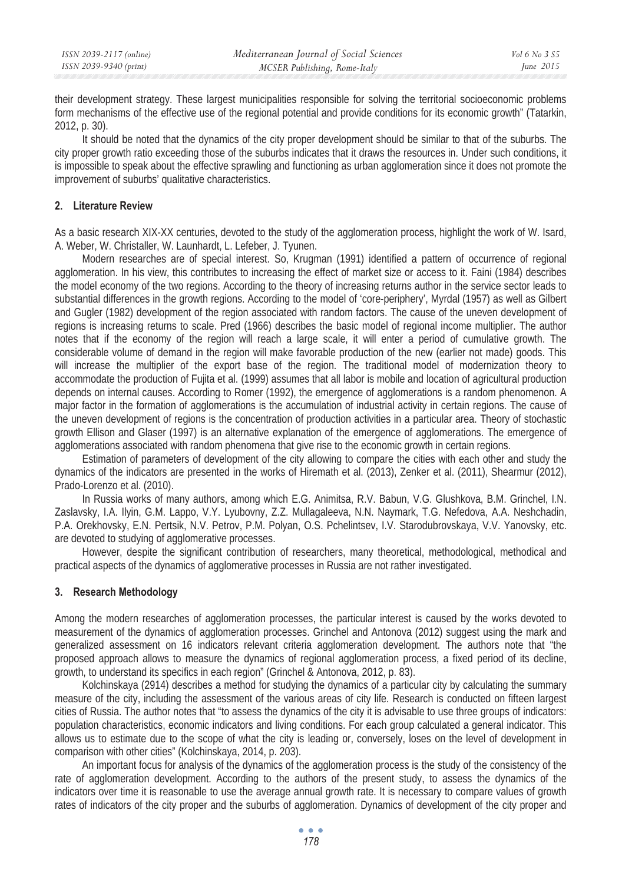| ISSN 2039-2117 (online) | Mediterranean Journal of Social Sciences | <i>Vol</i> 6 No 3 S5 |
|-------------------------|------------------------------------------|----------------------|
| ISSN 2039-9340 (print)  | MCSER Publishing, Rome-Italy             | June $2015$          |

their development strategy. These largest municipalities responsible for solving the territorial socioeconomic problems form mechanisms of the effective use of the regional potential and provide conditions for its economic growth" (Tatarkin, 2012, p. 30).

It should be noted that the dynamics of the city proper development should be similar to that of the suburbs. The city proper growth ratio exceeding those of the suburbs indicates that it draws the resources in. Under such conditions, it is impossible to speak about the effective sprawling and functioning as urban agglomeration since it does not promote the improvement of suburbs' qualitative characteristics.

#### **2. Literature Review**

As a basic research XIX-XX centuries, devoted to the study of the agglomeration process, highlight the work of W. Isard, A. Weber, W. Christaller, W. Launhardt, L. Lefeber, J. Tyunen.

Modern researches are of special interest. So, Krugman (1991) identified a pattern of occurrence of regional agglomeration. In his view, this contributes to increasing the effect of market size or access to it. Faini (1984) describes the model economy of the two regions. According to the theory of increasing returns author in the service sector leads to substantial differences in the growth regions. According to the model of 'core-periphery', Myrdal (1957) as well as Gilbert and Gugler (1982) development of the region associated with random factors. The cause of the uneven development of regions is increasing returns to scale. Pred (1966) describes the basic model of regional income multiplier. The author notes that if the economy of the region will reach a large scale, it will enter a period of cumulative growth. The considerable volume of demand in the region will make favorable production of the new (earlier not made) goods. This will increase the multiplier of the export base of the region. The traditional model of modernization theory to accommodate the production of Fujita et al. (1999) assumes that all labor is mobile and location of agricultural production depends on internal causes. According to Romer (1992), the emergence of agglomerations is a random phenomenon. A major factor in the formation of agglomerations is the accumulation of industrial activity in certain regions. The cause of the uneven development of regions is the concentration of production activities in a particular area. Theory of stochastic growth Ellison and Glaser (1997) is an alternative explanation of the emergence of agglomerations. The emergence of agglomerations associated with random phenomena that give rise to the economic growth in certain regions.

Estimation of parameters of development of the city allowing to compare the cities with each other and study the dynamics of the indicators are presented in the works of Hiremath et al. (2013), Zenker et al. (2011), Shearmur (2012), Prado-Lorenzo et al. (2010).

In Russia works of many authors, among which E.G. Animitsa, R.V. Babun, V.G. Glushkova, B.M. Grinchel, I.N. Zaslavsky, I.A. Ilyin, G.M. Lappo, V.Y. Lyubovny, Z.Z. Mullagaleeva, N.N. Naymark, T.G. Nefedova, A.A. Neshchadin, P.A. Orekhovsky, E.N. Pertsik, N.V. Petrov, P.M. Polyan, O.S. Pchelintsev, I.V. Starodubrovskaya, V.V. Yanovsky, etc. are devoted to studying of agglomerative processes.

However, despite the significant contribution of researchers, many theoretical, methodological, methodical and practical aspects of the dynamics of agglomerative processes in Russia are not rather investigated.

## **3. Research Methodology**

Among the modern researches of agglomeration processes, the particular interest is caused by the works devoted to measurement of the dynamics of agglomeration processes. Grinchel and Antonova (2012) suggest using the mark and generalized assessment on 16 indicators relevant criteria agglomeration development. The authors note that "the proposed approach allows to measure the dynamics of regional agglomeration process, a fixed period of its decline, growth, to understand its specifics in each region" (Grinchel & Antonova, 2012, p. 83).

Kolchinskaya (2914) describes a method for studying the dynamics of a particular city by calculating the summary measure of the city, including the assessment of the various areas of city life. Research is conducted on fifteen largest cities of Russia. The author notes that "to assess the dynamics of the city it is advisable to use three groups of indicators: population characteristics, economic indicators and living conditions. For each group calculated a general indicator. This allows us to estimate due to the scope of what the city is leading or, conversely, loses on the level of development in comparison with other cities" (Kolchinskaya, 2014, p. 203).

An important focus for analysis of the dynamics of the agglomeration process is the study of the consistency of the rate of agglomeration development. According to the authors of the present study, to assess the dynamics of the indicators over time it is reasonable to use the average annual growth rate. It is necessary to compare values of growth rates of indicators of the city proper and the suburbs of agglomeration. Dynamics of development of the city proper and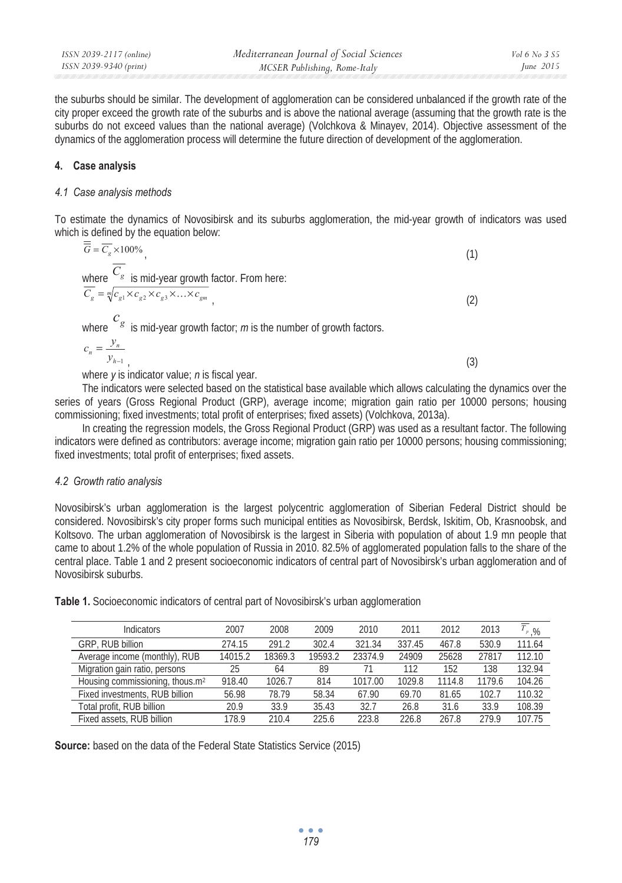| ISSN 2039-2117 (online) | Mediterranean Journal of Social Sciences | Vol 6 No. 3 S5 |
|-------------------------|------------------------------------------|----------------|
| ISSN 2039-9340 (print)  | MCSER Publishing, Rome-Italy             | June 2015      |

the suburbs should be similar. The development of agglomeration can be considered unbalanced if the growth rate of the city proper exceed the growth rate of the suburbs and is above the national average (assuming that the growth rate is the suburbs do not exceed values than the national average) (Volchkova & Minayev, 2014). Objective assessment of the dynamics of the agglomeration process will determine the future direction of development of the agglomeration.

## **4. Case analysis**

## *4.1 Case analysis methods*

To estimate the dynamics of Novosibirsk and its suburbs agglomeration, the mid-year growth of indicators was used which is defined by the equation below:

$$
\overline{G} = \overline{C_s} \times 100\%
$$
  
\nwhere  $\overline{C_s}$  is mid-year growth factor. From here:  
\n
$$
\overline{C_s} = \sqrt[n]{c_{s1} \times c_{s2} \times c_{s3} \times \dots \times c_{sm}}
$$
\n(2)

where  $c_g$  is mid-year growth factor; *m* is the number of growth factors.

$$
c_n = \frac{y_n}{y_{n-1}}\tag{3}
$$

where *y* is indicator value; *n* is fiscal year.

The indicators were selected based on the statistical base available which allows calculating the dynamics over the series of years (Gross Regional Product (GRP), average income; migration gain ratio per 10000 persons; housing commissioning; fixed investments; total profit of enterprises; fixed assets) (Volchkova, 2013a).

In creating the regression models, the Gross Regional Product (GRP) was used as a resultant factor. The following indicators were defined as contributors: average income; migration gain ratio per 10000 persons; housing commissioning; fixed investments; total profit of enterprises; fixed assets.

## *4.2 Growth ratio analysis*

Novosibirsk's urban agglomeration is the largest polycentric agglomeration of Siberian Federal District should be considered. Novosibirsk's city proper forms such municipal entities as Novosibirsk, Berdsk, Iskitim, Ob, Krasnoobsk, and Koltsovo. The urban agglomeration of Novosibirsk is the largest in Siberia with population of about 1.9 mn people that came to about 1.2% of the whole population of Russia in 2010. 82.5% of agglomerated population falls to the share of the central place. Table 1 and 2 present socioeconomic indicators of central part of Novosibirsk's urban agglomeration and of Novosibirsk suburbs.

| Indicators                                  | 2007    | 2008    | 2009    | 2010    | 2011   | 2012   | 2013   | $\%$<br>D |
|---------------------------------------------|---------|---------|---------|---------|--------|--------|--------|-----------|
| GRP, RUB billion                            | 274.15  | 291.2   | 302.4   | 321.34  | 337.45 | 467.8  | 530.9  | 111.64    |
| Average income (monthly), RUB               | 14015.2 | 18369.3 | 19593.2 | 23374.9 | 24909  | 25628  | 27817  | 112.10    |
| Migration gain ratio, persons               | 25      | 64      | 89      |         | 112    | 152    | 138    | 132.94    |
| Housing commissioning, thous.m <sup>2</sup> | 918.40  | 1026.7  | 814     | 1017.00 | 1029.8 | 1114.8 | 1179.6 | 104.26    |
| Fixed investments, RUB billion              | 56.98   | 78.79   | 58.34   | 67.90   | 69.70  | 81.65  | 102.7  | 110.32    |
| Total profit, RUB billion                   | 20.9    | 33.9    | 35.43   | 32.7    | 26.8   | 31.6   | 33.9   | 108.39    |
| Fixed assets, RUB billion                   | 178.9   | 210.4   | 225.6   | 223.8   | 226.8  | 267.8  | 279.9  | 107.75    |

Table 1. Socioeconomic indicators of central part of Novosibirsk's urban agglomeration

**Source:** based on the data of the Federal State Statistics Service (2015)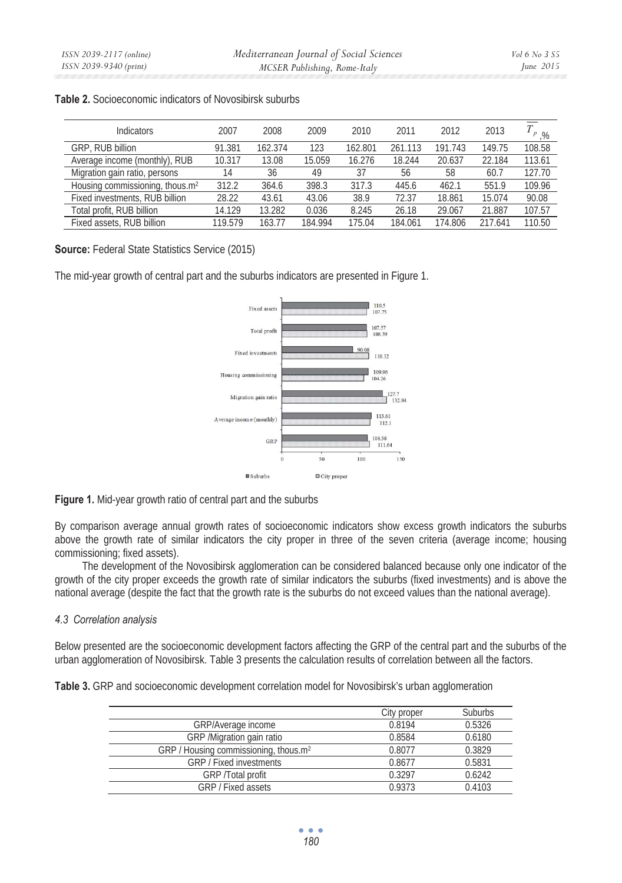| Indicators                                  | 2007    | 2008    | 2009    | 2010    | 2011    | 2012    | 2013    | $P, \frac{9}{6}$ |
|---------------------------------------------|---------|---------|---------|---------|---------|---------|---------|------------------|
| GRP, RUB billion                            | 91.381  | 162.374 | 123     | 162.801 | 261.113 | 191.743 | 149.75  | 108.58           |
| Average income (monthly), RUB               | 10.317  | 13.08   | 15.059  | 16.276  | 18.244  | 20.637  | 22.184  | 113.61           |
| Migration gain ratio, persons               | 14      | 36      | 49      | 37      | 56      | 58      | 60.7    | 127.70           |
| Housing commissioning, thous.m <sup>2</sup> | 312.2   | 364.6   | 398.3   | 317.3   | 445.6   | 462.1   | 551.9   | 109.96           |
| Fixed investments, RUB billion              | 28.22   | 43.61   | 43.06   | 38.9    | 72.37   | 18.861  | 15.074  | 90.08            |
| Total profit, RUB billion                   | 14.129  | 13.282  | 0.036   | 8.245   | 26.18   | 29.067  | 21.887  | 107.57           |
| Fixed assets, RUB billion                   | 119.579 | 163.77  | 184.994 | 175.04  | 184.061 | 174.806 | 217.641 | 110.50           |

## **Table 2.** Socioeconomic indicators of Novosibirsk suburbs

**Source:** Federal State Statistics Service (2015)

The mid-year growth of central part and the suburbs indicators are presented in Figure 1.



**Figure 1.** Mid-year growth ratio of central part and the suburbs

By comparison average annual growth rates of socioeconomic indicators show excess growth indicators the suburbs above the growth rate of similar indicators the city proper in three of the seven criteria (average income; housing commissioning; fixed assets).

The development of the Novosibirsk agglomeration can be considered balanced because only one indicator of the growth of the city proper exceeds the growth rate of similar indicators the suburbs (fixed investments) and is above the national average (despite the fact that the growth rate is the suburbs do not exceed values than the national average).

## *4.3 Correlation analysis*

Below presented are the socioeconomic development factors affecting the GRP of the central part and the suburbs of the urban agglomeration of Novosibirsk. Table 3 presents the calculation results of correlation between all the factors.

**Table 3.** GRP and socioeconomic development correlation model for Novosibirsk's urban agglomeration

|                                                   | City proper | <b>Suburbs</b> |
|---------------------------------------------------|-------------|----------------|
| GRP/Average income                                | 0.8194      | 0.5326         |
| GRP / Migration gain ratio                        | 0.8584      | 0.6180         |
| GRP / Housing commissioning, thous.m <sup>2</sup> | 0.8077      | 0.3829         |
| GRP / Fixed investments                           | 0.8677      | 0.5831         |
| <b>GRP</b> /Total profit                          | 0.3297      | 0.6242         |
| GRP / Fixed assets                                | 0.9373      | 0.4103         |
|                                                   |             |                |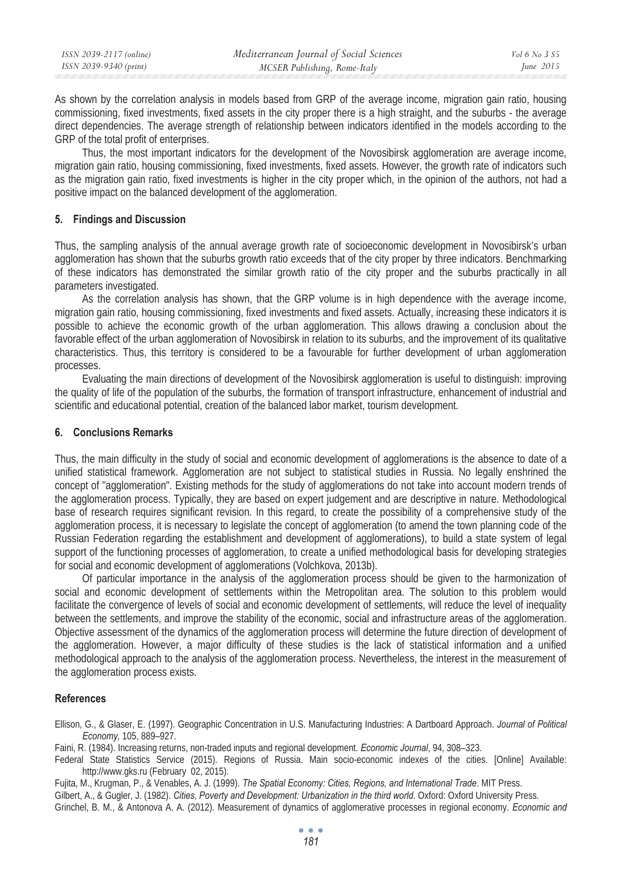| ISSN 2039-2117 (online) | Mediterranean Journal of Social Sciences | Vol 6 No 3 S5 |
|-------------------------|------------------------------------------|---------------|
| ISSN 2039-9340 (print)  | MCSER Publishing, Rome-Italy             | June $2015$   |

As shown by the correlation analysis in models based from GRP of the average income, migration gain ratio, housing commissioning, fixed investments, fixed assets in the city proper there is a high straight, and the suburbs - the average direct dependencies. The average strength of relationship between indicators identified in the models according to the GRP of the total profit of enterprises.

Thus, the most important indicators for the development of the Novosibirsk agglomeration are average income, migration gain ratio, housing commissioning, fixed investments, fixed assets. However, the growth rate of indicators such as the migration gain ratio, fixed investments is higher in the city proper which, in the opinion of the authors, not had a positive impact on the balanced development of the agglomeration.

## **5. Findings and Discussion**

Thus, the sampling analysis of the annual average growth rate of socioeconomic development in Novosibirsk's urban agglomeration has shown that the suburbs growth ratio exceeds that of the city proper by three indicators. Benchmarking of these indicators has demonstrated the similar growth ratio of the city proper and the suburbs practically in all parameters investigated.

As the correlation analysis has shown, that the GRP volume is in high dependence with the average income, migration gain ratio, housing commissioning, fixed investments and fixed assets. Actually, increasing these indicators it is possible to achieve the economic growth of the urban agglomeration. This allows drawing a conclusion about the favorable effect of the urban agglomeration of Novosibirsk in relation to its suburbs, and the improvement of its qualitative characteristics. Thus, this territory is considered to be a favourable for further development of urban agglomeration processes.

Evaluating the main directions of development of the Novosibirsk agglomeration is useful to distinguish: improving the quality of life of the population of the suburbs, the formation of transport infrastructure, enhancement of industrial and scientific and educational potential, creation of the balanced labor market, tourism development.

#### **6. Conclusions Remarks**

Thus, the main difficulty in the study of social and economic development of agglomerations is the absence to date of a unified statistical framework. Agglomeration are not subject to statistical studies in Russia. No legally enshrined the concept of "agglomeration". Existing methods for the study of agglomerations do not take into account modern trends of the agglomeration process. Typically, they are based on expert judgement and are descriptive in nature. Methodological base of research requires significant revision. In this regard, to create the possibility of a comprehensive study of the agglomeration process, it is necessary to legislate the concept of agglomeration (to amend the town planning code of the Russian Federation regarding the establishment and development of agglomerations), to build a state system of legal support of the functioning processes of agglomeration, to create a unified methodological basis for developing strategies for social and economic development of agglomerations (Volchkova, 2013b).

Of particular importance in the analysis of the agglomeration process should be given to the harmonization of social and economic development of settlements within the Metropolitan area. The solution to this problem would facilitate the convergence of levels of social and economic development of settlements, will reduce the level of inequality between the settlements, and improve the stability of the economic, social and infrastructure areas of the agglomeration. Objective assessment of the dynamics of the agglomeration process will determine the future direction of development of the agglomeration. However, a major difficulty of these studies is the lack of statistical information and a unified methodological approach to the analysis of the agglomeration process. Nevertheless, the interest in the measurement of the agglomeration process exists.

## **References**

Ellison, G., & Glaser, E. (1997). Geographic Concentration in U.S. Manufacturing Industries: A Dartboard Approach. *Journal of Political Economy,* 105, 889–927.

Faini, R. (1984). Increasing returns, non-traded inputs and regional development. *Economic Journal*, 94, 308–323.

Federal State Statistics Service (2015). Regions of Russia. Main socio-economic indexes of the cities. [Online] Available: http://www.gks.ru (February 02, 2015).

Fujita, M., Krugman, P., & Venables, A. J. (1999). *The Spatial Economy: Cities, Regions, and International Trade*. MIT Press. Gilbert, A., & Gugler, J. (1982). *Cities, Poverty and Development: Urbanization in the third world*. Oxford: Oxford University Press.

Grinchel, B. M., & Antonova A. A. (2012). Measurement of dynamics of agglomerative processes in regional economy. *Economic and*